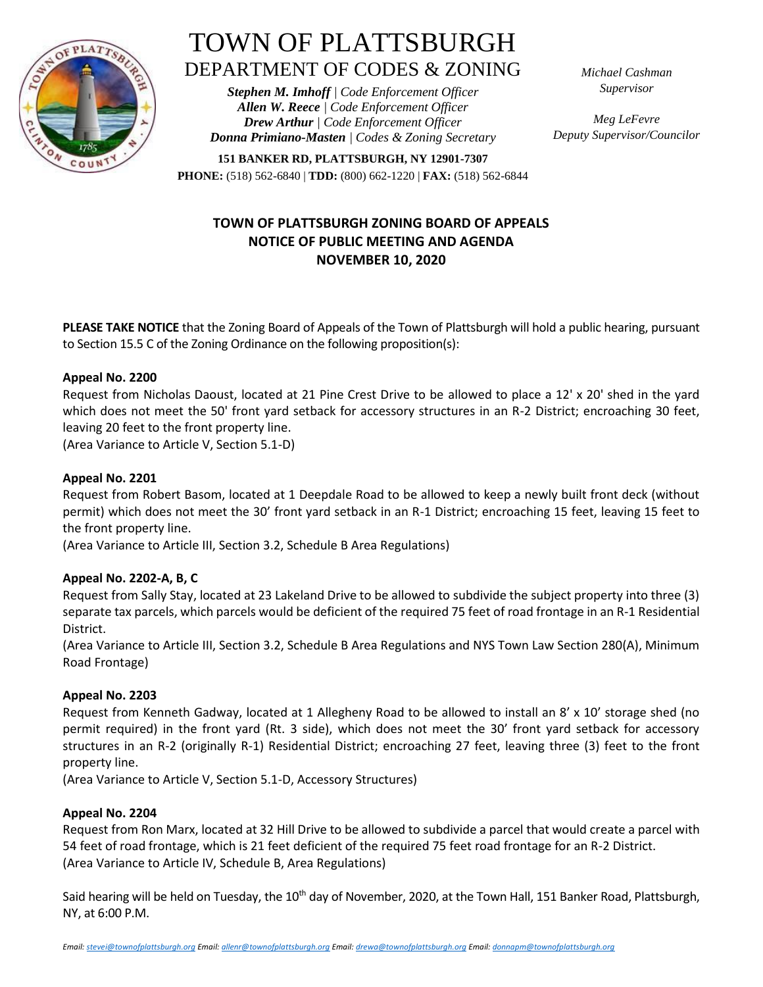

# TOWN OF PLATTSBURGH DEPARTMENT OF CODES & ZONING

*Stephen M. Imhoff | Code Enforcement Officer Allen W. Reece | Code Enforcement Officer Drew Arthur | Code Enforcement Officer Donna Primiano-Masten | Codes & Zoning Secretary* *Michael Cashman Supervisor*

*Meg LeFevre Deputy Supervisor/Councilor*

**151 BANKER RD, PLATTSBURGH, NY 12901-7307 PHONE:** (518) 562-6840 | **TDD:** (800) 662-1220 | **FAX:** (518) 562-6844

## **TOWN OF PLATTSBURGH ZONING BOARD OF APPEALS NOTICE OF PUBLIC MEETING AND AGENDA NOVEMBER 10, 2020**

**PLEASE TAKE NOTICE** that the Zoning Board of Appeals of the Town of Plattsburgh will hold a public hearing, pursuant to Section 15.5 C of the Zoning Ordinance on the following proposition(s):

### **Appeal No. 2200**

Request from Nicholas Daoust, located at 21 Pine Crest Drive to be allowed to place a 12' x 20' shed in the yard which does not meet the 50' front yard setback for accessory structures in an R-2 District; encroaching 30 feet, leaving 20 feet to the front property line.

(Area Variance to Article V, Section 5.1-D)

#### **Appeal No. 2201**

Request from Robert Basom, located at 1 Deepdale Road to be allowed to keep a newly built front deck (without permit) which does not meet the 30' front yard setback in an R-1 District; encroaching 15 feet, leaving 15 feet to the front property line.

(Area Variance to Article III, Section 3.2, Schedule B Area Regulations)

#### **Appeal No. 2202-A, B, C**

Request from Sally Stay, located at 23 Lakeland Drive to be allowed to subdivide the subject property into three (3) separate tax parcels, which parcels would be deficient of the required 75 feet of road frontage in an R-1 Residential District.

(Area Variance to Article III, Section 3.2, Schedule B Area Regulations and NYS Town Law Section 280(A), Minimum Road Frontage)

#### **Appeal No. 2203**

Request from Kenneth Gadway, located at 1 Allegheny Road to be allowed to install an 8' x 10' storage shed (no permit required) in the front yard (Rt. 3 side), which does not meet the 30' front yard setback for accessory structures in an R-2 (originally R-1) Residential District; encroaching 27 feet, leaving three (3) feet to the front property line.

(Area Variance to Article V, Section 5.1-D, Accessory Structures)

#### **Appeal No. 2204**

Request from Ron Marx, located at 32 Hill Drive to be allowed to subdivide a parcel that would create a parcel with 54 feet of road frontage, which is 21 feet deficient of the required 75 feet road frontage for an R-2 District. (Area Variance to Article IV, Schedule B, Area Regulations)

Said hearing will be held on Tuesday, the 10<sup>th</sup> day of November, 2020, at the Town Hall, 151 Banker Road, Plattsburgh, NY, at 6:00 P.M.